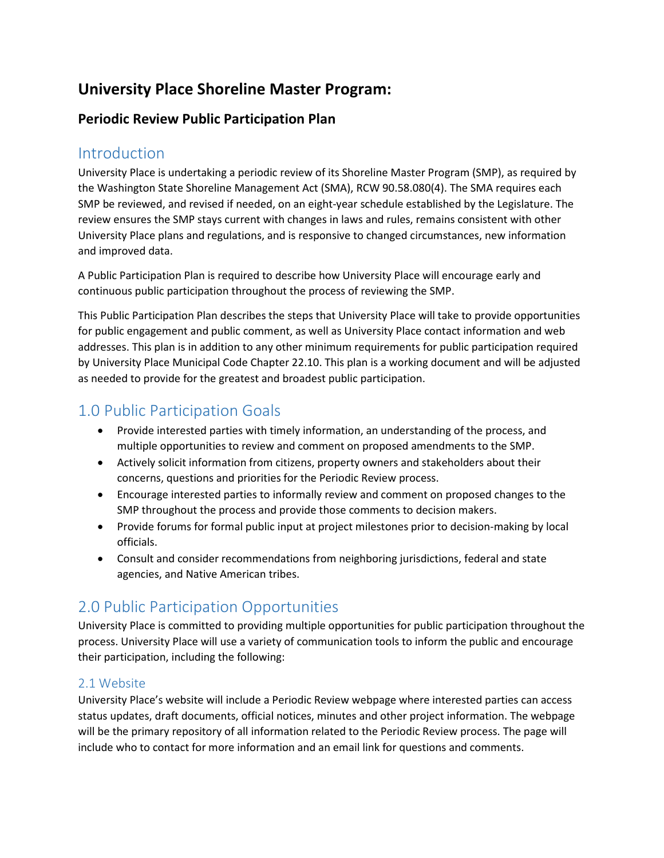# **University Place Shoreline Master Program:**

## **Periodic Review Public Participation Plan**

## Introduction

University Place is undertaking a periodic review of its Shoreline Master Program (SMP), as required by the Washington State Shoreline Management Act (SMA), RCW 90.58.080(4). The SMA requires each SMP be reviewed, and revised if needed, on an eight-year schedule established by the Legislature. The review ensures the SMP stays current with changes in laws and rules, remains consistent with other University Place plans and regulations, and is responsive to changed circumstances, new information and improved data.

A Public Participation Plan is required to describe how University Place will encourage early and continuous public participation throughout the process of reviewing the SMP.

This Public Participation Plan describes the steps that University Place will take to provide opportunities for public engagement and public comment, as well as University Place contact information and web addresses. This plan is in addition to any other minimum requirements for public participation required by University Place Municipal Code Chapter 22.10. This plan is a working document and will be adjusted as needed to provide for the greatest and broadest public participation.

# 1.0 Public Participation Goals

- Provide interested parties with timely information, an understanding of the process, and multiple opportunities to review and comment on proposed amendments to the SMP.
- Actively solicit information from citizens, property owners and stakeholders about their concerns, questions and priorities for the Periodic Review process.
- Encourage interested parties to informally review and comment on proposed changes to the SMP throughout the process and provide those comments to decision makers.
- Provide forums for formal public input at project milestones prior to decision-making by local officials.
- Consult and consider recommendations from neighboring jurisdictions, federal and state agencies, and Native American tribes.

# 2.0 Public Participation Opportunities

University Place is committed to providing multiple opportunities for public participation throughout the process. University Place will use a variety of communication tools to inform the public and encourage their participation, including the following:

### 2.1 Website

University Place's website will include a Periodic Review webpage where interested parties can access status updates, draft documents, official notices, minutes and other project information. The webpage will be the primary repository of all information related to the Periodic Review process. The page will include who to contact for more information and an email link for questions and comments.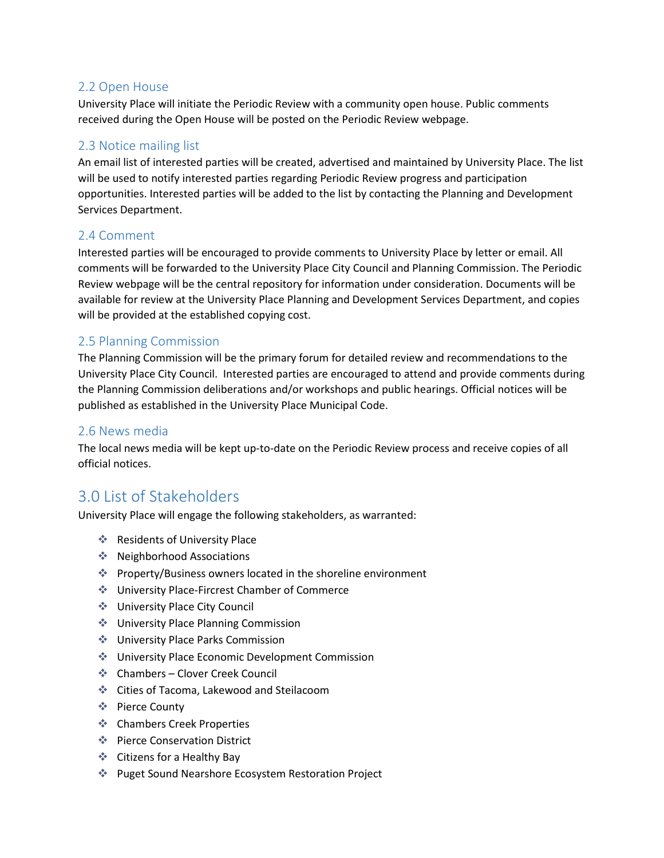### 2.2 Open House

University Place will initiate the Periodic Review with a community open house. Public comments received during the Open House will be posted on the Periodic Review webpage.

### 2.3 Notice mailing list

An email list of interested parties will be created, advertised and maintained by University Place. The list will be used to notify interested parties regarding Periodic Review progress and participation opportunities. Interested parties will be added to the list by contacting the Planning and Development Services Department.

### 2.4 Comment

Interested parties will be encouraged to provide comments to University Place by letter or email. All comments will be forwarded to the University Place City Council and Planning Commission. The Periodic Review webpage will be the central repository for information under consideration. Documents will be available for review at the University Place Planning and Development Services Department, and copies will be provided at the established copying cost.

### 2.5 Planning Commission

The Planning Commission will be the primary forum for detailed review and recommendations to the University Place City Council. Interested parties are encouraged to attend and provide comments during the Planning Commission deliberations and/or workshops and public hearings. Official notices will be published as established in the University Place Municipal Code.

#### 2.6 News media

The local news media will be kept up-to-date on the Periodic Review process and receive copies of all official notices.

## 3.0 List of Stakeholders

University Place will engage the following stakeholders, as warranted:

- **EXECUTE:** Residents of University Place
- ◆ Neighborhood Associations
- Property/Business owners located in the shoreline environment
- University Place-Fircrest Chamber of Commerce
- University Place City Council
- University Place Planning Commission
- **♦ University Place Parks Commission**
- University Place Economic Development Commission
- Chambers Clover Creek Council
- Cities of Tacoma, Lakewood and Steilacoom
- Pierce County
- **❖** Chambers Creek Properties
- **EXECUTE:** Pierce Conservation District
- Citizens for a Healthy Bay
- Puget Sound Nearshore Ecosystem Restoration Project